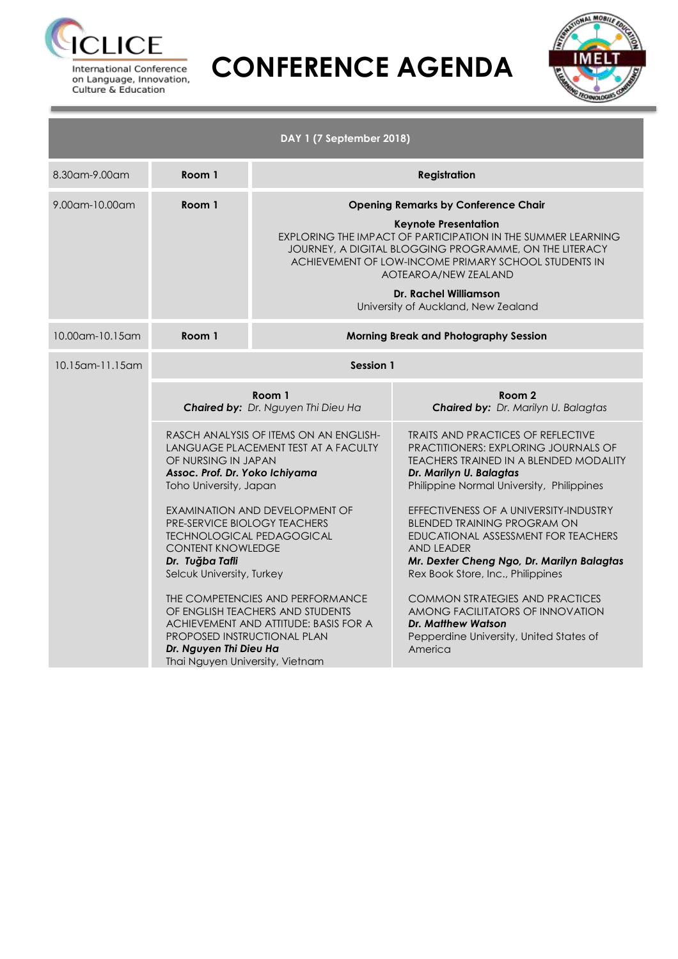



|                 |                                                                                                                                                                                                                                                                                                                             | DAY 1 (7 September 2018)                                                                                                                                                                                                                                                                              |                                                                                                                                                                                                                                                                                                                                                                                                                                                                                                                                                                                                                                                                        |  |  |  |
|-----------------|-----------------------------------------------------------------------------------------------------------------------------------------------------------------------------------------------------------------------------------------------------------------------------------------------------------------------------|-------------------------------------------------------------------------------------------------------------------------------------------------------------------------------------------------------------------------------------------------------------------------------------------------------|------------------------------------------------------------------------------------------------------------------------------------------------------------------------------------------------------------------------------------------------------------------------------------------------------------------------------------------------------------------------------------------------------------------------------------------------------------------------------------------------------------------------------------------------------------------------------------------------------------------------------------------------------------------------|--|--|--|
| 8.30am-9.00am   | Room 1                                                                                                                                                                                                                                                                                                                      | <b>Registration</b>                                                                                                                                                                                                                                                                                   |                                                                                                                                                                                                                                                                                                                                                                                                                                                                                                                                                                                                                                                                        |  |  |  |
| 9.00am-10.00am  | Room 1                                                                                                                                                                                                                                                                                                                      |                                                                                                                                                                                                                                                                                                       | <b>Opening Remarks by Conference Chair</b><br><b>Keynote Presentation</b><br>EXPLORING THE IMPACT OF PARTICIPATION IN THE SUMMER LEARNING<br>JOURNEY, A DIGITAL BLOGGING PROGRAMME, ON THE LITERACY<br>ACHIEVEMENT OF LOW-INCOME PRIMARY SCHOOL STUDENTS IN<br>AOTEAROA/NEW ZEALAND<br><b>Dr. Rachel Williamson</b><br>University of Auckland, New Zealand                                                                                                                                                                                                                                                                                                             |  |  |  |
| 10.00am-10.15am | Room 1                                                                                                                                                                                                                                                                                                                      | Morning Break and Photography Session                                                                                                                                                                                                                                                                 |                                                                                                                                                                                                                                                                                                                                                                                                                                                                                                                                                                                                                                                                        |  |  |  |
| 10.15am-11.15am | OF NURSING IN JAPAN<br>Assoc. Prof. Dr. Yoko Ichiyama<br>Toho University, Japan<br>PRE-SERVICE BIOLOGY TEACHERS<br><b>TECHNOLOGICAL PEDAGOGICAL</b><br><b>CONTENT KNOWLEDGE</b><br>Dr. Tuğba Tafli<br>Selcuk University, Turkey<br>PROPOSED INSTRUCTIONAL PLAN<br>Dr. Nguyen Thi Dieu Ha<br>Thai Nguyen University, Vietnam | <b>Session 1</b><br>Room 1<br>Chaired by: Dr. Nguyen Thi Dieu Ha<br>RASCH ANALYSIS OF ITEMS ON AN ENGLISH-<br>LANGUAGE PLACEMENT TEST AT A FACULTY<br>EXAMINATION AND DEVELOPMENT OF<br>THE COMPETENCIES AND PERFORMANCE<br>OF ENGLISH TEACHERS AND STUDENTS<br>ACHIEVEMENT AND ATTITUDE: BASIS FOR A | Room <sub>2</sub><br><b>Chaired by:</b> Dr. Marilyn U. Balagtas<br><b>TRAITS AND PRACTICES OF REFLECTIVE</b><br>PRACTITIONERS: EXPLORING JOURNALS OF<br>TEACHERS TRAINED IN A BLENDED MODALITY<br>Dr. Marilyn U. Balagtas<br>Philippine Normal University, Philippines<br>EFFECTIVENESS OF A UNIVERSITY-INDUSTRY<br><b>BLENDED TRAINING PROGRAM ON</b><br>EDUCATIONAL ASSESSMENT FOR TEACHERS<br><b>AND LEADER</b><br>Mr. Dexter Cheng Ngo, Dr. Marilyn Balagtas<br>Rex Book Store, Inc., Philippines<br><b>COMMON STRATEGIES AND PRACTICES</b><br>AMONG FACILITATORS OF INNOVATION<br><b>Dr. Matthew Watson</b><br>Pepperdine University, United States of<br>America |  |  |  |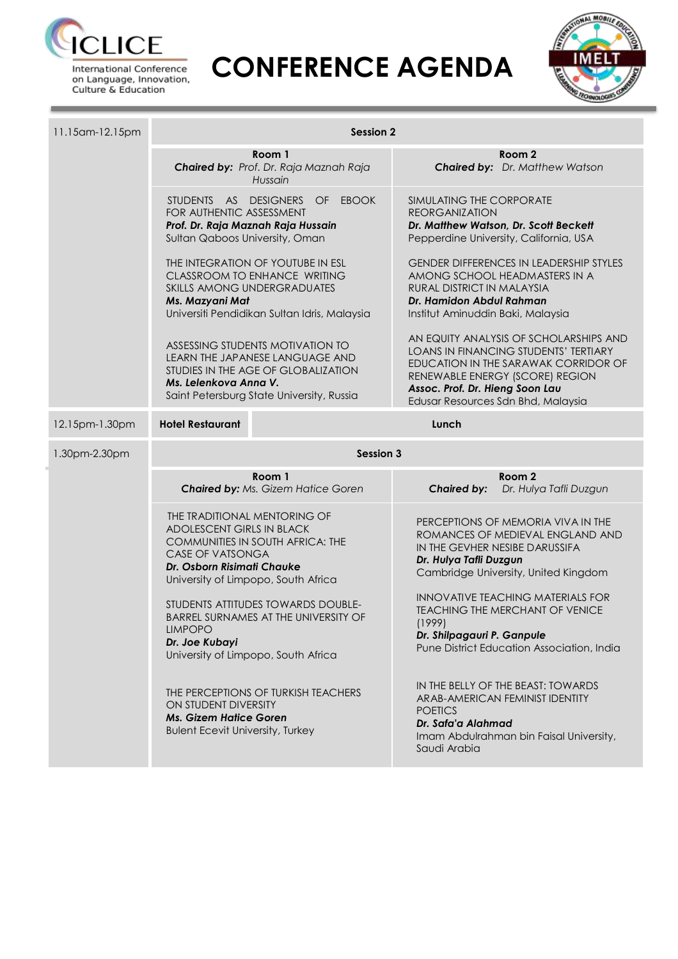



| 11.15am-12.15pm | <b>Session 2</b>                                                                                                   |                                                                                                                                                         |                                                                                                                                                                                                                                     |                                                                                                                                                  |  |  |  |
|-----------------|--------------------------------------------------------------------------------------------------------------------|---------------------------------------------------------------------------------------------------------------------------------------------------------|-------------------------------------------------------------------------------------------------------------------------------------------------------------------------------------------------------------------------------------|--------------------------------------------------------------------------------------------------------------------------------------------------|--|--|--|
|                 |                                                                                                                    | Room 1<br>Chaired by: Prof. Dr. Raja Maznah Raja<br>Hussain                                                                                             |                                                                                                                                                                                                                                     | Room <sub>2</sub><br><b>Chaired by:</b> Dr. Matthew Watson                                                                                       |  |  |  |
|                 | FOR AUTHENTIC ASSESSMENT<br>Sultan Qaboos University, Oman                                                         | STUDENTS AS DESIGNERS OF EBOOK<br>Prof. Dr. Raja Maznah Raja Hussain                                                                                    | SIMULATING THE CORPORATE<br><b>REORGANIZATION</b><br>Dr. Matthew Watson, Dr. Scott Beckett<br>Pepperdine University, California, USA                                                                                                |                                                                                                                                                  |  |  |  |
|                 | Ms. Mazyani Mat                                                                                                    | THE INTEGRATION OF YOUTUBE IN ESL<br>CLASSROOM TO ENHANCE WRITING<br>SKILLS AMONG UNDERGRADUATES<br>Universiti Pendidikan Sultan Idris, Malaysia        | <b>GENDER DIFFERENCES IN LEADERSHIP STYLES</b><br>AMONG SCHOOL HEADMASTERS IN A<br>RURAL DISTRICT IN MALAYSIA<br>Dr. Hamidon Abdul Rahman<br>Institut Aminuddin Baki, Malaysia                                                      |                                                                                                                                                  |  |  |  |
|                 | Ms. Lelenkova Anna V.                                                                                              | ASSESSING STUDENTS MOTIVATION TO<br>LEARN THE JAPANESE LANGUAGE AND<br>STUDIES IN THE AGE OF GLOBALIZATION<br>Saint Petersburg State University, Russia | AN EQUITY ANALYSIS OF SCHOLARSHIPS AND<br>LOANS IN FINANCING STUDENTS' TERTIARY<br>EDUCATION IN THE SARAWAK CORRIDOR OF<br>RENEWABLE ENERGY (SCORE) REGION<br>Assoc. Prof. Dr. Hieng Soon Lau<br>Edusar Resources Sdn Bhd, Malaysia |                                                                                                                                                  |  |  |  |
| 12.15pm-1.30pm  | <b>Hotel Restaurant</b>                                                                                            |                                                                                                                                                         | Lunch                                                                                                                                                                                                                               |                                                                                                                                                  |  |  |  |
| 1.30pm-2.30pm   | <b>Session 3</b>                                                                                                   |                                                                                                                                                         |                                                                                                                                                                                                                                     |                                                                                                                                                  |  |  |  |
|                 |                                                                                                                    | Room 1<br>Chaired by: Ms. Gizem Hatice Goren                                                                                                            | <b>Chaired by:</b>                                                                                                                                                                                                                  | Room <sub>2</sub><br>Dr. Hulya Tafli Duzgun                                                                                                      |  |  |  |
|                 | THE TRADITIONAL MENTORING OF<br><b>ADOLESCENT GIRLS IN BLACK</b><br>CASE OF VATSONGA<br>Dr. Osborn Risimati Chauke | COMMUNITIES IN SOUTH AFRICA: THE<br>University of Limpopo, South Africa                                                                                 | Dr. Hulya Tafli Duzgun                                                                                                                                                                                                              | PERCEPTIONS OF MEMORIA VIVA IN THE<br>ROMANCES OF MEDIEVAL ENGLAND AND<br>IN THE GEVHER NESIBE DARUSSIFA<br>Cambridge University, United Kingdom |  |  |  |
|                 | <b>LIMPOPO</b><br>Dr. Joe Kubayi                                                                                   | STUDENTS ATTITUDES TOWARDS DOUBLE-<br>BARREL SURNAMES AT THE UNIVERSITY OF<br>University of Limpopo, South Africa                                       | <b>INNOVATIVE TEACHING MATERIALS FOR</b><br><b>TEACHING THE MERCHANT OF VENICE</b><br>(1999)<br>Dr. Shilpagauri P. Ganpule<br>Pune District Education Association, India                                                            |                                                                                                                                                  |  |  |  |
|                 | ON STUDENT DIVERSITY<br><b>Ms. Gizem Hatice Goren</b><br><b>Bulent Ecevit University, Turkey</b>                   | THE PERCEPTIONS OF TURKISH TEACHERS                                                                                                                     | <b>POETICS</b><br>Dr. Safa'a Alahmad<br>Saudi Arabia                                                                                                                                                                                | IN THE BELLY OF THE BEAST: TOWARDS<br>ARAB-AMERICAN FEMINIST IDENTITY<br>Imam Abdulrahman bin Faisal University,                                 |  |  |  |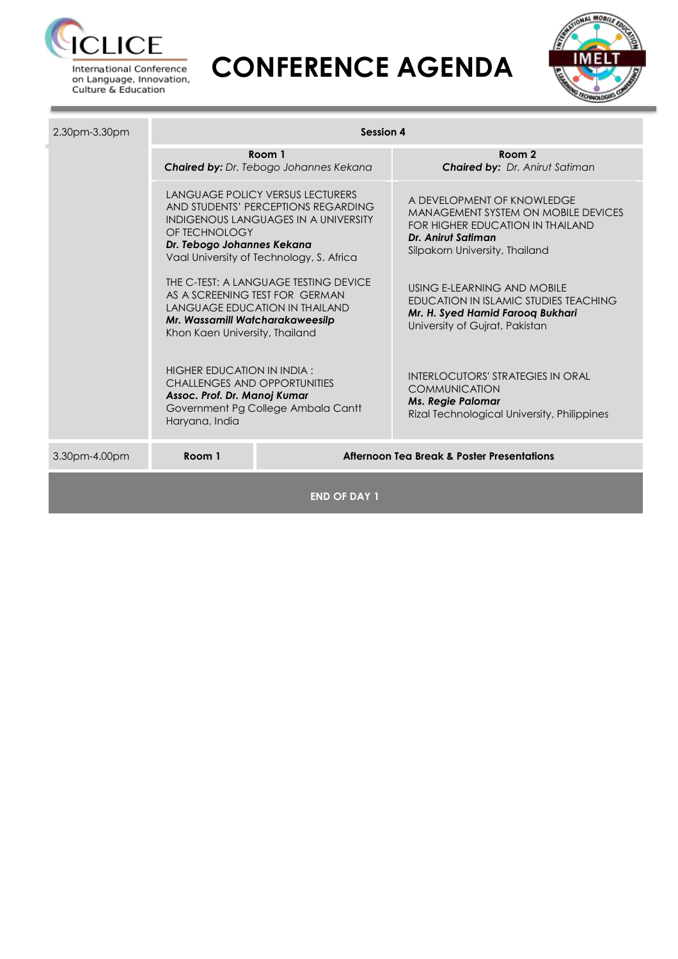

on Language, Innovation, Culture & Education



| 2.30pm-3.30pm       | <b>Session 4</b>                                                                                                                                                                                           |                                                                                                                  |                                                                                                                                                                      |  |  |  |
|---------------------|------------------------------------------------------------------------------------------------------------------------------------------------------------------------------------------------------------|------------------------------------------------------------------------------------------------------------------|----------------------------------------------------------------------------------------------------------------------------------------------------------------------|--|--|--|
|                     |                                                                                                                                                                                                            | Room 1<br>Chaired by: Dr. Tebogo Johannes Kekana                                                                 | Room 2<br><b>Chaired by: Dr. Anirut Satiman</b>                                                                                                                      |  |  |  |
|                     | LANGUAGE POLICY VERSUS LECTURERS<br>AND STUDENTS' PERCEPTIONS REGARDING<br>INDIGENOUS LANGUAGES IN A UNIVERSITY<br>OF TECHNOLOGY<br>Dr. Tebogo Johannes Kekana<br>Vaal University of Technology, S. Africa |                                                                                                                  | A DEVELOPMENT OF KNOWLEDGE<br><b>MANAGEMENT SYSTEM ON MOBILE DEVICES</b><br>FOR HIGHER EDUCATION IN THAILAND<br>Dr. Anirut Satiman<br>Silpakorn University, Thailand |  |  |  |
|                     | Mr. Wassamill Watcharakaweesilp<br>Khon Kaen University, Thailand                                                                                                                                          | THE C-TEST: A LANGUAGE TESTING DEVICE<br>AS A SCREENING TEST FOR GERMAN<br><b>LANGUAGE EDUCATION IN THAILAND</b> | USING E-LEARNING AND MOBILE<br>EDUCATION IN ISLAMIC STUDIES TEACHING<br>Mr. H. Syed Hamid Farooq Bukhari<br>University of Guirat, Pakistan                           |  |  |  |
|                     | HIGHER EDUCATION IN INDIA :<br><b>CHALLENGES AND OPPORTUNITIES</b><br>Assoc. Prof. Dr. Manoj Kumar<br>Government Pg College Ambala Cantt<br>Haryana, India                                                 |                                                                                                                  | <b>INTERLOCUTORS' STRATEGIES IN ORAL</b><br><b>COMMUNICATION</b><br><b>Ms. Regie Palomar</b><br>Rizal Technological University, Philippines                          |  |  |  |
| 3.30pm-4.00pm       | Room 1                                                                                                                                                                                                     |                                                                                                                  | <b>Afternoon Tea Break &amp; Poster Presentations</b>                                                                                                                |  |  |  |
| <b>END OF DAY 1</b> |                                                                                                                                                                                                            |                                                                                                                  |                                                                                                                                                                      |  |  |  |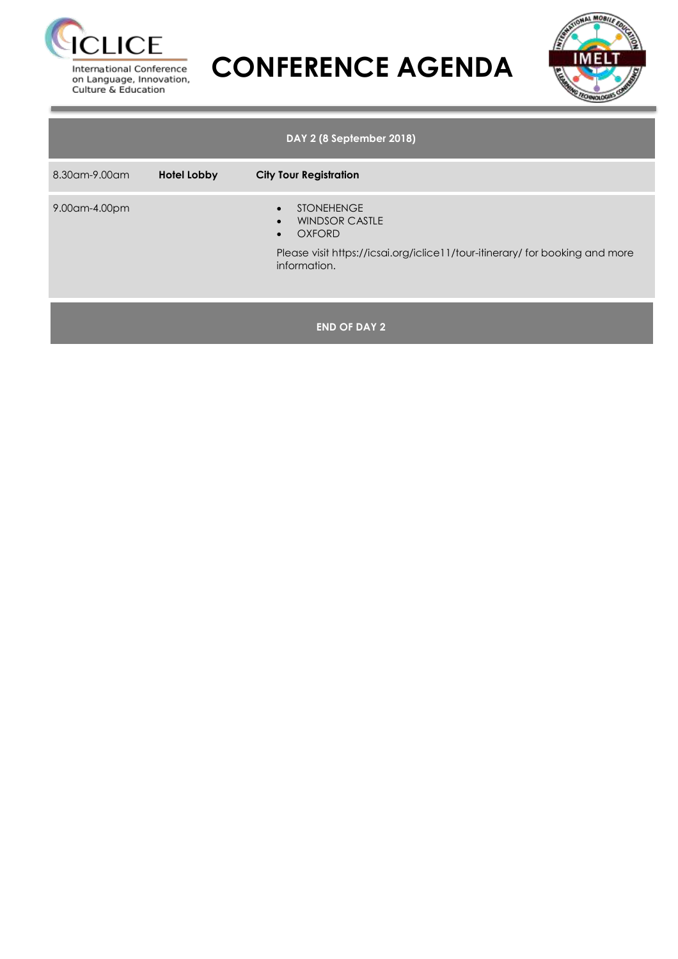



|               |             | DAY 2 (8 September 2018)                                                                                                                                                 |
|---------------|-------------|--------------------------------------------------------------------------------------------------------------------------------------------------------------------------|
| 8.30am-9.00am | Hotel Lobby | <b>City Tour Registration</b>                                                                                                                                            |
| 9.00am-4.00pm |             | <b>STONEHENGE</b><br>$\bullet$<br><b>WINDSOR CASTLE</b><br><b>OXFORD</b><br>Please visit https://icsai.org/iclice11/tour-itinerary/ for booking and more<br>information. |
|               |             | <b>END OF DAY 2</b>                                                                                                                                                      |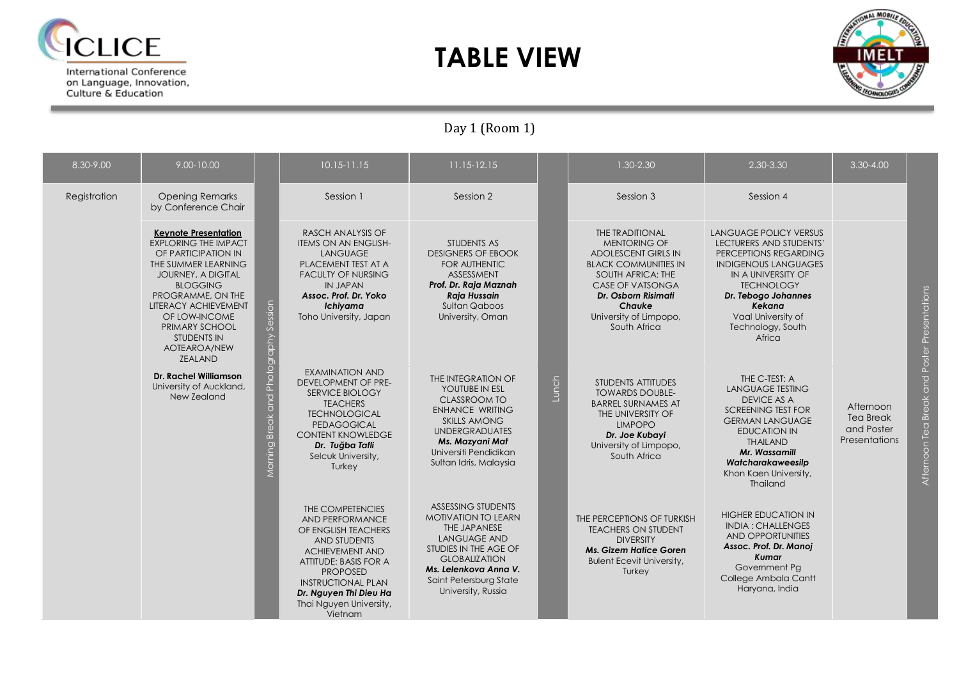

on Language, Innovation,<br>Culture & Education

### **TABLE VIEW**



Day 1 (Room 1)

| 8.30-9.00    | 9.00-10.00                                                                                                                                                                                                                                                                         |                                       | $10.15 - 11.15$                                                                                                                                                                                                                                      | 11.15-12.15                                                                                                                                                                                                              |       | 1.30-2.30                                                                                                                                                                                                                      | 2.30-3.30                                                                                                                                                                                                                                         | $3.30 - 4.00$                                                       |                                                       |
|--------------|------------------------------------------------------------------------------------------------------------------------------------------------------------------------------------------------------------------------------------------------------------------------------------|---------------------------------------|------------------------------------------------------------------------------------------------------------------------------------------------------------------------------------------------------------------------------------------------------|--------------------------------------------------------------------------------------------------------------------------------------------------------------------------------------------------------------------------|-------|--------------------------------------------------------------------------------------------------------------------------------------------------------------------------------------------------------------------------------|---------------------------------------------------------------------------------------------------------------------------------------------------------------------------------------------------------------------------------------------------|---------------------------------------------------------------------|-------------------------------------------------------|
| Registration | <b>Opening Remarks</b><br>by Conference Chair                                                                                                                                                                                                                                      |                                       | Session 1                                                                                                                                                                                                                                            | Session 2                                                                                                                                                                                                                |       | Session 3                                                                                                                                                                                                                      | Session 4                                                                                                                                                                                                                                         |                                                                     |                                                       |
|              | <b>Keynote Presentation</b><br><b>EXPLORING THE IMPACT</b><br>OF PARTICIPATION IN<br>THE SUMMER LEARNING<br>JOURNEY, A DIGITAL<br><b>BLOGGING</b><br>PROGRAMME, ON THE<br>LITERACY ACHIEVEMENT<br>OF LOW-INCOME<br>PRIMARY SCHOOL<br>STUDENTS IN<br>AOTEAROA/NEW<br><b>ZEALAND</b> |                                       | <b>RASCH ANALYSIS OF</b><br><b>ITEMS ON AN ENGLISH-</b><br><b>LANGUAGE</b><br>PLACEMENT TEST AT A<br><b>FACULTY OF NURSING</b><br><b>IN JAPAN</b><br>Assoc. Prof. Dr. Yoko<br>Ichiyama<br>Toho University, Japan                                     | STUDENTS AS<br><b>DESIGNERS OF EBOOK</b><br><b>FOR AUTHENTIC</b><br>ASSESSMENT<br>Prof. Dr. Raja Maznah<br>Raja Hussain<br>Sultan Qaboos<br>University, Oman                                                             |       | <b>THE TRADITIONAL</b><br><b>MENTORING OF</b><br>ADOLESCENT GIRLS IN<br><b>BLACK COMMUNITIES IN</b><br>SOUTH AFRICA: THE<br><b>CASE OF VATSONGA</b><br>Dr. Osborn Risimati<br>Chauke<br>University of Limpopo,<br>South Africa | <b>LANGUAGE POLICY VERSUS</b><br>LECTURERS AND STUDENTS'<br>PERCEPTIONS REGARDING<br><b>INDIGENOUS LANGUAGES</b><br>IN A UNIVERSITY OF<br><b>TECHNOLOGY</b><br>Dr. Tebogo Johannes<br>Kekana<br>Vaal University of<br>Technology, South<br>Africa |                                                                     | Presentations<br>Poster                               |
|              | <b>Dr. Rachel Williamson</b><br>University of Auckland,<br>New Zealand                                                                                                                                                                                                             | Morning Break and Photography Session | <b>EXAMINATION AND</b><br><b>DEVELOPMENT OF PRE-</b><br>SERVICE BIOLOGY<br><b>TEACHERS</b><br><b>TECHNOLOGICAL</b><br><b>PEDAGOGICAL</b><br><b>CONTENT KNOWLEDGE</b><br>Dr. Tuğba Tafli<br>Selcuk University,<br>Turkey                              | THE INTEGRATION OF<br>YOUTUBE IN ESL<br><b>CLASSROOM TO</b><br><b>ENHANCE WRITING</b><br><b>SKILLS AMONG</b><br><b>UNDERGRADUATES</b><br>Ms. Mazyani Mat<br>Universiti Pendidikan<br>Sultan Idris, Malaysia              | Lunch | <b>STUDENTS ATTITUDES</b><br><b>TOWARDS DOUBLE-</b><br><b>BARREL SURNAMES AT</b><br>THE UNIVERSITY OF<br><b>LIMPOPO</b><br>Dr. Joe Kubayi<br>University of Limpopo,<br>South Africa                                            | THE C-TEST: A<br><b>LANGUAGE TESTING</b><br><b>DEVICE AS A</b><br><b>SCREENING TEST FOR</b><br><b>GERMAN LANGUAGE</b><br><b>EDUCATION IN</b><br><b>THAILAND</b><br>Mr. Wassamill<br>Watcharakaweesilp<br>Khon Kaen University,<br>Thailand        | Afternoon<br><b>Tea Break</b><br>and Poster<br><b>Presentations</b> | $\frac{1}{\sqrt{2}}$<br><b>Break</b><br>Afternoon Tea |
|              |                                                                                                                                                                                                                                                                                    |                                       | THE COMPETENCIES<br>AND PERFORMANCE<br>OF ENGLISH TEACHERS<br><b>AND STUDENTS</b><br><b>ACHIEVEMENT AND</b><br>ATTITUDE: BASIS FOR A<br><b>PROPOSED</b><br><b>INSTRUCTIONAL PLAN</b><br>Dr. Nguyen Thi Dieu Ha<br>Thai Nguyen University,<br>Vietnam | <b>ASSESSING STUDENTS</b><br><b>MOTIVATION TO LEARN</b><br>THE JAPANESE<br><b>LANGUAGE AND</b><br>STUDIES IN THE AGE OF<br><b>GLOBALIZATION</b><br>Ms. Lelenkova Anna V.<br>Saint Petersburg State<br>University, Russia |       | THE PERCEPTIONS OF TURKISH<br><b>TEACHERS ON STUDENT</b><br><b>DIVERSITY</b><br><b>Ms. Gizem Hatice Goren</b><br><b>Bulent Ecevit University,</b><br>Turkey                                                                    | <b>HIGHER EDUCATION IN</b><br><b>INDIA: CHALLENGES</b><br>AND OPPORTUNITIES<br>Assoc. Prof. Dr. Manoj<br>Kumar<br>Government Pg<br>College Ambala Cantt<br>Haryana, India                                                                         |                                                                     |                                                       |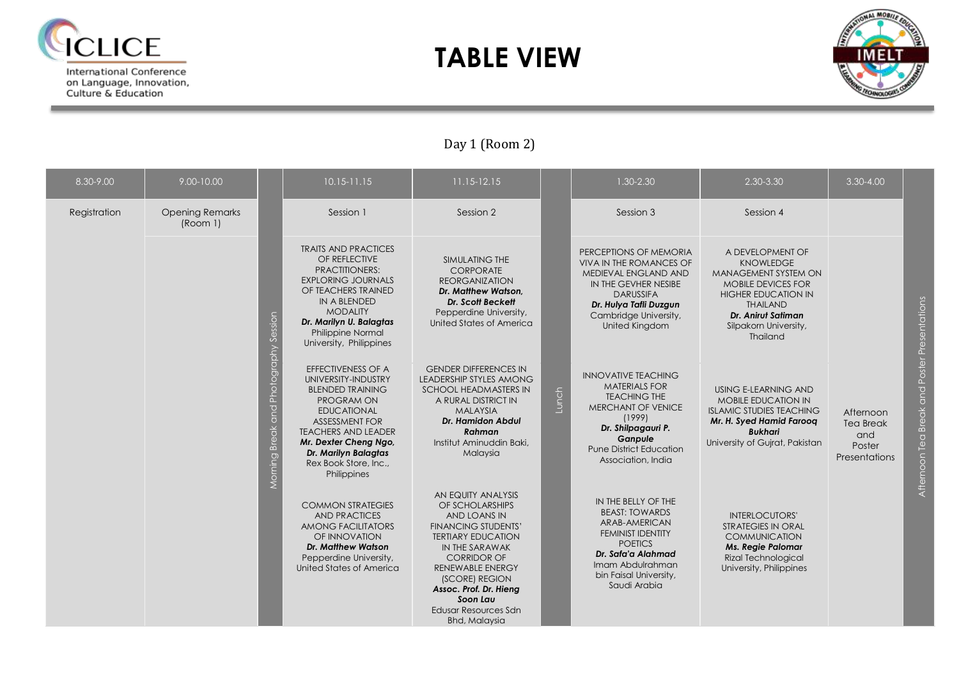

on Language, Innovation,<br>Culture & Education

### **TABLE VIEW**



### Day 1 (Room 2)

| 8.30-9.00    | 9.00-10.00                         |                                          | $10.15 - 11.15$                                                                                                                                                                                                                                                 | 11.15-12.15                                                                                                                                                                                                                                                                                 |       | $1.30 - 2.30$                                                                                                                                                                                      | 2.30-3.30                                                                                                                                                                                                           | $3.30 - 4.00$                                                          |                                                     |
|--------------|------------------------------------|------------------------------------------|-----------------------------------------------------------------------------------------------------------------------------------------------------------------------------------------------------------------------------------------------------------------|---------------------------------------------------------------------------------------------------------------------------------------------------------------------------------------------------------------------------------------------------------------------------------------------|-------|----------------------------------------------------------------------------------------------------------------------------------------------------------------------------------------------------|---------------------------------------------------------------------------------------------------------------------------------------------------------------------------------------------------------------------|------------------------------------------------------------------------|-----------------------------------------------------|
| Registration | <b>Opening Remarks</b><br>(Room 1) |                                          | Session 1                                                                                                                                                                                                                                                       | Session 2                                                                                                                                                                                                                                                                                   |       | Session 3                                                                                                                                                                                          | Session 4                                                                                                                                                                                                           |                                                                        |                                                     |
|              |                                    |                                          | <b>TRAITS AND PRACTICES</b><br>OF REFLECTIVE<br><b>PRACTITIONERS:</b><br><b>EXPLORING JOURNALS</b><br>OF TEACHERS TRAINED<br><b>IN A BLENDED</b><br><b>MODALITY</b><br>Dr. Marilyn U. Balagtas<br>Philippine Normal<br>University, Philippines                  | <b>SIMULATING THE</b><br>CORPORATE<br><b>REORGANIZATION</b><br>Dr. Matthew Watson.<br><b>Dr. Scott Beckett</b><br>Pepperdine University,<br>United States of America                                                                                                                        |       | PERCEPTIONS OF MEMORIA<br><b>VIVA IN THE ROMANCES OF</b><br>MEDIEVAL ENGLAND AND<br>IN THE GEVHER NESIBE<br><b>DARUSSIFA</b><br>Dr. Hulya Tafli Duzgun<br>Cambridge University,<br>United Kingdom  | A DEVELOPMENT OF<br><b>KNOWLEDGE</b><br><b>MANAGEMENT SYSTEM ON</b><br><b>MOBILE DEVICES FOR</b><br><b>HIGHER EDUCATION IN</b><br><b>THAILAND</b><br><b>Dr. Anirut Satiman</b><br>Silpakorn University,<br>Thailand |                                                                        | Presentations                                       |
|              |                                    | Break and Photography Session<br>Morning | <b>EFFECTIVENESS OF A</b><br>UNIVERSITY-INDUSTRY<br><b>BLENDED TRAINING</b><br>PROGRAM ON<br><b>EDUCATIONAL</b><br><b>ASSESSMENT FOR</b><br><b>TEACHERS AND LEADER</b><br>Mr. Dexter Cheng Ngo,<br>Dr. Marilyn Balagtas<br>Rex Book Store, Inc.,<br>Philippines | <b>GENDER DIFFERENCES IN</b><br><b>LEADERSHIP STYLES AMONG</b><br>SCHOOL HEADMASTERS IN<br>A RURAL DISTRICT IN<br><b>MALAYSIA</b><br><b>Dr. Hamidon Abdul</b><br>Rahman<br>Institut Aminuddin Baki,<br>Malaysia                                                                             | Lunch | <b>INNOVATIVE TEACHING</b><br><b>MATERIALS FOR</b><br><b>TEACHING THE</b><br>MERCHANT OF VENICE<br>(1999)<br>Dr. Shilpagauri P.<br>Ganpule<br><b>Pune District Education</b><br>Association, India | USING E-LEARNING AND<br><b>MOBILE EDUCATION IN</b><br><b>ISLAMIC STUDIES TEACHING</b><br>Mr. H. Syed Hamid Faroog<br><b>Bukhari</b><br>University of Gujrat, Pakistan                                               | Afternoon<br><b>Tea Break</b><br>and<br>Poster<br><b>Presentations</b> | Poster I<br>and<br><b>Break</b><br>Tea<br>Afternoon |
|              |                                    |                                          | <b>COMMON STRATEGIES</b><br><b>AND PRACTICES</b><br>AMONG FACILITATORS<br>OF INNOVATION<br><b>Dr. Matthew Watson</b><br>Pepperdine University,<br>United States of America                                                                                      | AN EQUITY ANALYSIS<br>OF SCHOLARSHIPS<br>AND LOANS IN<br><b>FINANCING STUDENTS'</b><br><b>TERTIARY EDUCATION</b><br>IN THE SARAWAK<br><b>CORRIDOR OF</b><br><b>RENEWABLE ENERGY</b><br>(SCORE) REGION<br>Assoc. Prof. Dr. Hieng<br>Soon Lau<br>Edusar Resources Sdn<br><b>Bhd, Malaysia</b> |       | IN THE BELLY OF THE<br><b>BEAST: TOWARDS</b><br>ARAB-AMERICAN<br><b>FEMINIST IDENTITY</b><br><b>POETICS</b><br>Dr. Safa'a Alahmad<br>Imam Abdulrahman<br>bin Faisal University,<br>Saudi Arabia    | <b>INTERLOCUTORS'</b><br><b>STRATEGIES IN ORAL</b><br><b>COMMUNICATION</b><br><b>Ms. Regie Palomar</b><br><b>Rizal Technological</b><br>University, Philippines                                                     |                                                                        |                                                     |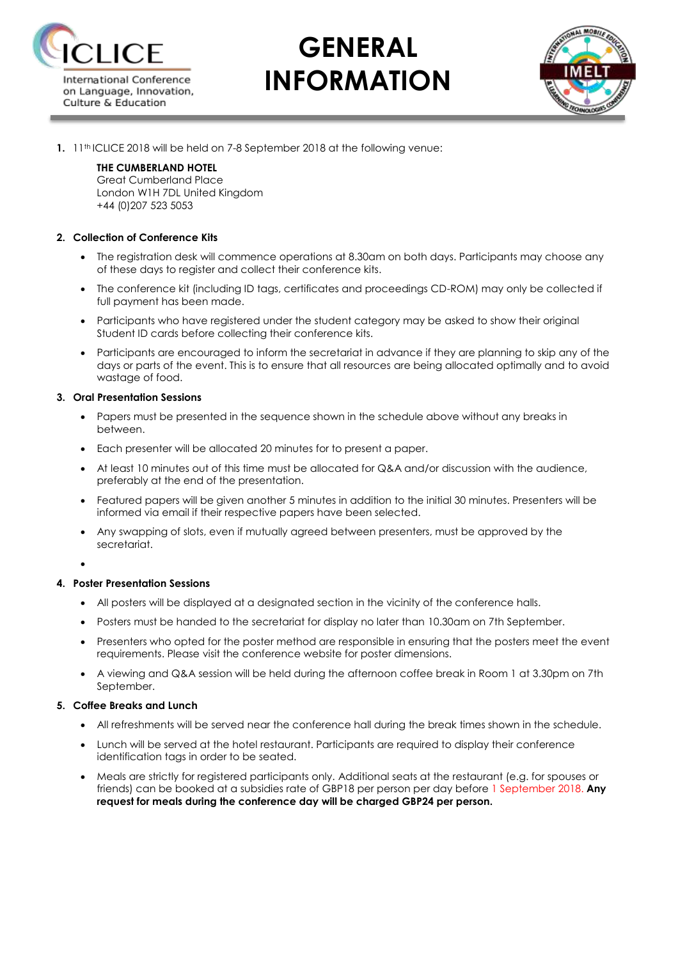

# **GENERAL INFORMATION**



**1.** 11<sup>th</sup> ICLICE 2018 will be held on 7-8 September 2018 at the following venue:

#### **THE CUMBERLAND HOTEL**

Great Cumberland Place London W1H 7DL United Kingdom +44 (0)207 523 5053

#### **2. Collection of Conference Kits**

- The registration desk will commence operations at 8.30am on both days. Participants may choose any of these days to register and collect their conference kits.
- The conference kit (including ID tags, certificates and proceedings CD-ROM) may only be collected if full payment has been made.
- Participants who have registered under the student category may be asked to show their original Student ID cards before collecting their conference kits.
- Participants are encouraged to inform the secretariat in advance if they are planning to skip any of the days or parts of the event. This is to ensure that all resources are being allocated optimally and to avoid wastage of food.

#### **3. Oral Presentation Sessions**

- Papers must be presented in the sequence shown in the schedule above without any breaks in between.
- Each presenter will be allocated 20 minutes for to present a paper.
- At least 10 minutes out of this time must be allocated for Q&A and/or discussion with the audience, preferably at the end of the presentation.
- Featured papers will be given another 5 minutes in addition to the initial 30 minutes. Presenters will be informed via email if their respective papers have been selected.
- Any swapping of slots, even if mutually agreed between presenters, must be approved by the secretariat.

 $\bullet$ 

#### **4. Poster Presentation Sessions**

- All posters will be displayed at a designated section in the vicinity of the conference halls.
- Posters must be handed to the secretariat for display no later than 10.30am on 7th September.
- Presenters who opted for the poster method are responsible in ensuring that the posters meet the event requirements. Please visit the conference website for poster dimensions.
- A viewing and Q&A session will be held during the afternoon coffee break in Room 1 at 3.30pm on 7th September.

#### **5. Coffee Breaks and Lunch**

- All refreshments will be served near the conference hall during the break times shown in the schedule.
- Lunch will be served at the hotel restaurant. Participants are required to display their conference identification tags in order to be seated.
- Meals are strictly for registered participants only. Additional seats at the restaurant (e.g. for spouses or friends) can be booked at a subsidies rate of GBP18 per person per day before 1 September 2018. **Any request for meals during the conference day will be charged GBP24 per person.**